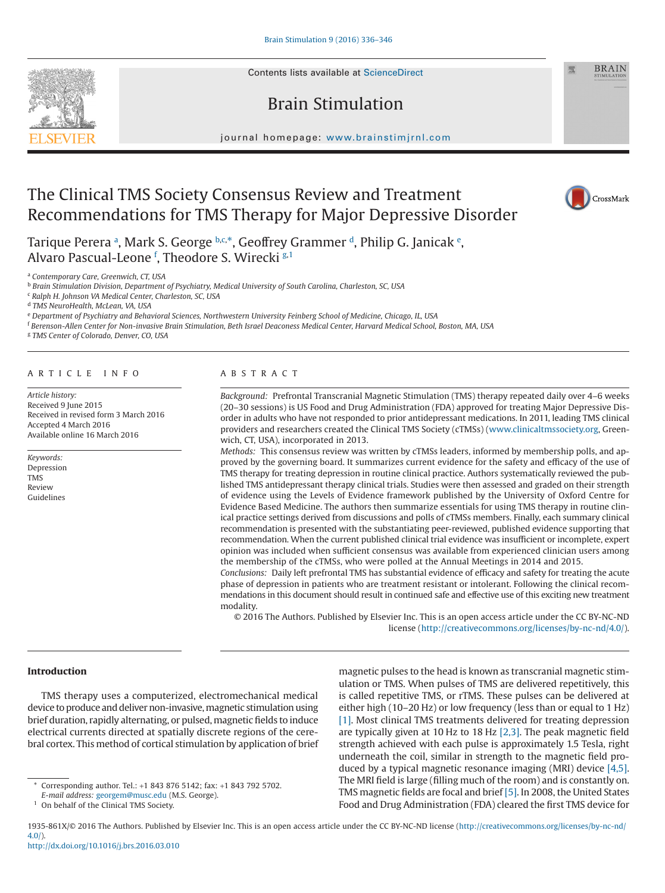Contents lists available at [ScienceDirect](http://www.sciencedirect.com/science/journal/1935861X)

# Brain Stimulation

journal homepage: [www.brainstimjrnl.com](http://www.brainstimjrnl.com)

# The Clinical TMS Society Consensus Review and Treatment Recommendations for TMS Therapy for Major Depressive Disorder

T[a](#page-0-0)rique Perera ª, Mark S. George [b](#page-0-1).c.[\\*,](#page-0-3) G[e](#page-0-5)offrey Grammer <sup>d</sup>, Philip G. Janicak <sup>e</sup>, Alvaro Pascual-Leone [f](#page-0-6), Theodore S. Wirecki <sup>[g,](#page-0-7) [1](#page-0-8)</sup>

<span id="page-0-0"></span><sup>a</sup> *Contemporary Care, Greenwich, CT, USA*

<span id="page-0-1"></span><sup>b</sup> *Brain Stimulation Division, Department of Psychiatry, Medical University of South Carolina, Charleston, SC, USA*

<span id="page-0-2"></span><sup>c</sup> *Ralph H. Johnson VA Medical Center, Charleston, SC, USA*

<span id="page-0-4"></span><sup>d</sup> *TMS NeuroHealth, McLean, VA, USA*

<span id="page-0-5"></span><sup>e</sup> *Department of Psychiatry and Behavioral Sciences, Northwestern University Feinberg School of Medicine, Chicago, IL, USA*

<span id="page-0-6"></span><sup>f</sup> *Berenson-Allen Center for Non-invasive Brain Stimulation, Beth Israel Deaconess Medical Center, Harvard Medical School, Boston, MA, USA*

<span id="page-0-7"></span><sup>g</sup> *TMS Center of Colorado, Denver, CO, USA*

## ARTICLE INFO

*Article history:* Received 9 June 2015 Received in revised form 3 March 2016 Accepted 4 March 2016 Available online 16 March 2016

*Keywords:* Depression TMS Review Guidelines

# ABSTRACT

*Background:* Prefrontal Transcranial Magnetic Stimulation (TMS) therapy repeated daily over 4–6 weeks (20–30 sessions) is US Food and Drug Administration (FDA) approved for treating Major Depressive Disorder in adults who have not responded to prior antidepressant medications. In 2011, leading TMS clinical providers and researchers created the Clinical TMS Society (cTMSs) [\(www.clinicaltmssociety.org,](http://www.clinicaltmssociety.org) Greenwich, CT, USA), incorporated in 2013.

*Methods:* This consensus review was written by cTMSs leaders, informed by membership polls, and approved by the governing board. It summarizes current evidence for the safety and efficacy of the use of TMS therapy for treating depression in routine clinical practice. Authors systematically reviewed the published TMS antidepressant therapy clinical trials. Studies were then assessed and graded on their strength of evidence using the Levels of Evidence framework published by the University of Oxford Centre for Evidence Based Medicine. The authors then summarize essentials for using TMS therapy in routine clinical practice settings derived from discussions and polls of cTMSs members. Finally, each summary clinical recommendation is presented with the substantiating peer-reviewed, published evidence supporting that recommendation. When the current published clinical trial evidence was insufficient or incomplete, expert opinion was included when sufficient consensus was available from experienced clinician users among the membership of the cTMSs, who were polled at the Annual Meetings in 2014 and 2015.

*Conclusions:* Daily left prefrontal TMS has substantial evidence of efficacy and safety for treating the acute phase of depression in patients who are treatment resistant or intolerant. Following the clinical recommendations in this document should result in continued safe and effective use of this exciting new treatment modality.

© 2016 The Authors. Published by Elsevier Inc. This is an open access article under the CC BY-NC-ND license (http://creativecommons.org/licenses/by-nc-nd/4.0/).

## **Introduction**

TMS therapy uses a computerized, electromechanical medical device to produce and deliver non-invasive, magnetic stimulation using brief duration, rapidly alternating, or pulsed, magnetic fields to induce electrical currents directed at spatially discrete regions of the cerebral cortex. This method of cortical stimulation by application of brief

<span id="page-0-3"></span>\* Corresponding author. Tel.: +1 843 876 5142; fax: +1 843 792 5702.

<span id="page-0-8"></span>*E-mail address:* [georgem@musc.edu](mailto:georgem@musc.edu) (M.S. George).

<sup>1</sup> On behalf of the Clinical TMS Society.

magnetic pulses to the head is known as transcranial magnetic stimulation or TMS. When pulses of TMS are delivered repetitively, this is called repetitive TMS, or rTMS. These pulses can be delivered at either high (10–20 Hz) or low frequency (less than or equal to 1 Hz) [\[1\].](#page-9-0) Most clinical TMS treatments delivered for treating depression are typically given at 10 Hz to 18 Hz  $[2,3]$ . The peak magnetic field strength achieved with each pulse is approximately 1.5 Tesla, right underneath the coil, similar in strength to the magnetic field produced by a typical magnetic resonance imaging (MRI) device [\[4,5\].](#page-9-2) The MRI field is large (filling much of the room) and is constantly on. TMS magnetic fields are focal and brief [\[5\].](#page-9-3) In 2008, the United States Food and Drug Administration (FDA) cleared the first TMS device for

1935-861X/© 2016 The Authors. Published by Elsevier Inc. This is an open access article under the CC BY-NC-ND license (http://creativecommons.org/licenses/by-nc-nd/ 4.0/).



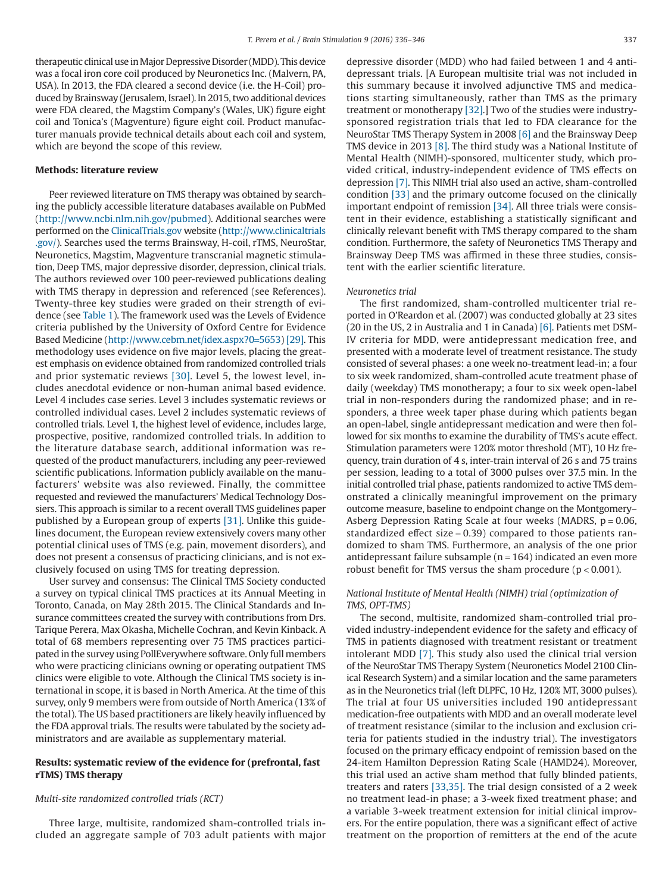therapeutic clinical use inMajor Depressive Disorder (MDD). This device was a focal iron core coil produced by Neuronetics Inc. (Malvern, PA, USA). In 2013, the FDA cleared a second device (i.e. the H-Coil) produced by Brainsway (Jerusalem, Israel). In 2015, two additional devices were FDA cleared, the Magstim Company's (Wales, UK) figure eight coil and Tonica's (Magventure) figure eight coil. Product manufacturer manuals provide technical details about each coil and system, which are beyond the scope of this review.

# **Methods: literature review**

Peer reviewed literature on TMS therapy was obtained by searching the publicly accessible literature databases available on PubMed [\(http://www.ncbi.nlm.nih.gov/pubmed\)](http://www.ncbi.nlm.nih.gov/pubmed). Additional searches were performed on the [ClinicalTrials.gov](http://ClinicalTrials.gov) website [\(http://www.clinicaltrials](http://www.clinicaltrials.gov/) [.gov/\)](http://www.clinicaltrials.gov/). Searches used the terms Brainsway, H-coil, rTMS, NeuroStar, Neuronetics, Magstim, Magventure transcranial magnetic stimulation, Deep TMS, major depressive disorder, depression, clinical trials. The authors reviewed over 100 peer-reviewed publications dealing with TMS therapy in depression and referenced (see References). Twenty-three key studies were graded on their strength of evidence (see [Table 1\)](#page-2-0). The framework used was the Levels of Evidence criteria published by the University of Oxford Centre for Evidence Based Medicine [\(http://www.cebm.net/idex.aspx?0](http://www.cebm.net/idex.aspx?0=5653)=5653) [\[29\].](#page-9-4) This methodology uses evidence on five major levels, placing the greatest emphasis on evidence obtained from randomized controlled trials and prior systematic reviews [\[30\].](#page-9-5) Level 5, the lowest level, includes anecdotal evidence or non-human animal based evidence. Level 4 includes case series. Level 3 includes systematic reviews or controlled individual cases. Level 2 includes systematic reviews of controlled trials. Level 1, the highest level of evidence, includes large, prospective, positive, randomized controlled trials. In addition to the literature database search, additional information was requested of the product manufacturers, including any peer-reviewed scientific publications. Information publicly available on the manufacturers' website was also reviewed. Finally, the committee requested and reviewed the manufacturers' Medical Technology Dossiers. This approach is similar to a recent overall TMS guidelines paper published by a European group of experts [\[31\].](#page-9-6) Unlike this guidelines document, the European review extensively covers many other potential clinical uses of TMS (e.g. pain, movement disorders), and does not present a consensus of practicing clinicians, and is not exclusively focused on using TMS for treating depression.

User survey and consensus: The Clinical TMS Society conducted a survey on typical clinical TMS practices at its Annual Meeting in Toronto, Canada, on May 28th 2015. The Clinical Standards and Insurance committees created the survey with contributions from Drs. Tarique Perera, Max Okasha, Michelle Cochran, and Kevin Kinback. A total of 68 members representing over 75 TMS practices participated in the survey using PollEverywhere software. Only full members who were practicing clinicians owning or operating outpatient TMS clinics were eligible to vote. Although the Clinical TMS society is international in scope, it is based in North America. At the time of this survey, only 9 members were from outside of North America (13% of the total). The US based practitioners are likely heavily influenced by the FDA approval trials. The results were tabulated by the society administrators and are available as supplementary material.

# **Results: systematic review of the evidence for (prefrontal, fast rTMS) TMS therapy**

## *Multi-site randomized controlled trials (RCT)*

Three large, multisite, randomized sham-controlled trials included an aggregate sample of 703 adult patients with major

depressive disorder (MDD) who had failed between 1 and 4 antidepressant trials. [A European multisite trial was not included in this summary because it involved adjunctive TMS and medications starting simultaneously, rather than TMS as the primary treatment or monotherapy [\[32\].](#page-9-7)] Two of the studies were industrysponsored registration trials that led to FDA clearance for the NeuroStar TMS Therapy System in 2008 [\[6\]](#page-9-8) and the Brainsway Deep TMS device in 2013 [\[8\].](#page-9-9) The third study was a National Institute of Mental Health (NIMH)-sponsored, multicenter study, which provided critical, industry-independent evidence of TMS effects on depression [\[7\].](#page-9-10) This NIMH trial also used an active, sham-controlled condition [\[33\]](#page-9-11) and the primary outcome focused on the clinically important endpoint of remission [\[34\].](#page-9-12) All three trials were consistent in their evidence, establishing a statistically significant and clinically relevant benefit with TMS therapy compared to the sham condition. Furthermore, the safety of Neuronetics TMS Therapy and Brainsway Deep TMS was affirmed in these three studies, consistent with the earlier scientific literature.

## *Neuronetics trial*

The first randomized, sham-controlled multicenter trial reported in O'Reardon et al. (2007) was conducted globally at 23 sites (20 in the US, 2 in Australia and 1 in Canada) [\[6\].](#page-9-8) Patients met DSM-IV criteria for MDD, were antidepressant medication free, and presented with a moderate level of treatment resistance. The study consisted of several phases: a one week no-treatment lead-in; a four to six week randomized, sham-controlled acute treatment phase of daily (weekday) TMS monotherapy; a four to six week open-label trial in non-responders during the randomized phase; and in responders, a three week taper phase during which patients began an open-label, single antidepressant medication and were then followed for six months to examine the durability of TMS's acute effect. Stimulation parameters were 120% motor threshold (MT), 10 Hz frequency, train duration of 4 s, inter-train interval of 26 s and 75 trains per session, leading to a total of 3000 pulses over 37.5 min. In the initial controlled trial phase, patients randomized to active TMS demonstrated a clinically meaningful improvement on the primary outcome measure, baseline to endpoint change on the Montgomery– Asberg Depression Rating Scale at four weeks (MADRS,  $p = 0.06$ , standardized effect size = 0.39) compared to those patients randomized to sham TMS. Furthermore, an analysis of the one prior antidepressant failure subsample ( $n = 164$ ) indicated an even more robust benefit for TMS versus the sham procedure ( $p < 0.001$ ).

# *National Institute of Mental Health (NIMH) trial (optimization of TMS, OPT-TMS)*

The second, multisite, randomized sham-controlled trial provided industry-independent evidence for the safety and efficacy of TMS in patients diagnosed with treatment resistant or treatment intolerant MDD [\[7\].](#page-9-10) This study also used the clinical trial version of the NeuroStar TMS Therapy System (Neuronetics Model 2100 Clinical Research System) and a similar location and the same parameters as in the Neuronetics trial (left DLPFC, 10 Hz, 120% MT, 3000 pulses). The trial at four US universities included 190 antidepressant medication-free outpatients with MDD and an overall moderate level of treatment resistance (similar to the inclusion and exclusion criteria for patients studied in the industry trial). The investigators focused on the primary efficacy endpoint of remission based on the 24-item Hamilton Depression Rating Scale (HAMD24). Moreover, this trial used an active sham method that fully blinded patients, treaters and raters [\[33,35\].](#page-9-11) The trial design consisted of a 2 week no treatment lead-in phase; a 3-week fixed treatment phase; and a variable 3-week treatment extension for initial clinical improvers. For the entire population, there was a significant effect of active treatment on the proportion of remitters at the end of the acute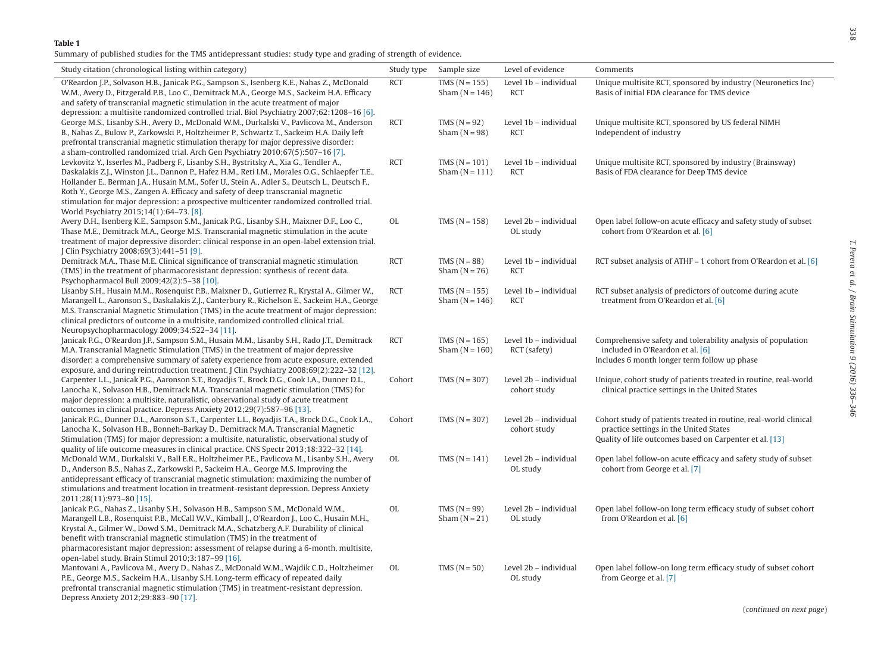<span id="page-2-0"></span>Summary of published studies for the TMS antidepressant studies: study type and grading of strength of evidence.

| Study citation (chronological listing within category)                                                                                                                                                                                                                                                                                                                                                                                                                                                                  | Study type | Sample size                           | Level of evidence                     | Comments                                                                                                                                                              |
|-------------------------------------------------------------------------------------------------------------------------------------------------------------------------------------------------------------------------------------------------------------------------------------------------------------------------------------------------------------------------------------------------------------------------------------------------------------------------------------------------------------------------|------------|---------------------------------------|---------------------------------------|-----------------------------------------------------------------------------------------------------------------------------------------------------------------------|
| O'Reardon J.P., Solvason H.B., Janicak P.G., Sampson S., Isenberg K.E., Nahas Z., McDonald<br>W.M., Avery D., Fitzgerald P.B., Loo C., Demitrack M.A., George M.S., Sackeim H.A. Efficacy<br>and safety of transcranial magnetic stimulation in the acute treatment of major<br>depression: a multisite randomized controlled trial. Biol Psychiatry 2007;62:1208-16 [6].                                                                                                                                               | <b>RCT</b> | TMS ( $N = 155$ )<br>Sham $(N = 146)$ | Level 1b - individual<br><b>RCT</b>   | Unique multisite RCT, sponsored by industry (Neuronetics Inc)<br>Basis of initial FDA clearance for TMS device                                                        |
| George M.S., Lisanby S.H., Avery D., McDonald W.M., Durkalski V., Pavlicova M., Anderson<br>B., Nahas Z., Bulow P., Zarkowski P., Holtzheimer P., Schwartz T., Sackeim H.A. Daily left<br>prefrontal transcranial magnetic stimulation therapy for major depressive disorder:<br>a sham-controlled randomized trial. Arch Gen Psychiatry 2010;67(5):507-16 [7].                                                                                                                                                         | RCT        | TMS ( $N = 92$ )<br>Sham $(N = 98)$   | Level 1b - individual<br><b>RCT</b>   | Unique multisite RCT, sponsored by US federal NIMH<br>Independent of industry                                                                                         |
| Levkovitz Y., Isserles M., Padberg F., Lisanby S.H., Bystritsky A., Xia G., Tendler A.,<br>Daskalakis Z.J., Winston J.L., Dannon P., Hafez H.M., Reti I.M., Morales O.G., Schlaepfer T.E.,<br>Hollander E., Berman J.A., Husain M.M., Sofer U., Stein A., Adler S., Deutsch L., Deutsch F.,<br>Roth Y., George M.S., Zangen A. Efficacy and safety of deep transcranial magnetic<br>stimulation for major depression: a prospective multicenter randomized controlled trial.<br>World Psychiatry 2015;14(1):64-73. [8]. | <b>RCT</b> | TMS ( $N = 101$ )<br>$Sham(N = 111)$  | Level 1b - individual<br><b>RCT</b>   | Unique multisite RCT, sponsored by industry (Brainsway)<br>Basis of FDA clearance for Deep TMS device                                                                 |
| Avery D.H., Isenberg K.E., Sampson S.M., Janicak P.G., Lisanby S.H., Maixner D.F., Loo C.,<br>Thase M.E., Demitrack M.A., George M.S. Transcranial magnetic stimulation in the acute<br>treatment of major depressive disorder: clinical response in an open-label extension trial.<br>J Clin Psychiatry 2008;69(3):441-51 [9].                                                                                                                                                                                         | 0L         | TMS ( $N = 158$ )                     | Level 2b - individual<br>OL study     | Open label follow-on acute efficacy and safety study of subset<br>cohort from O'Reardon et al. [6]                                                                    |
| Demitrack M.A., Thase M.E. Clinical significance of transcranial magnetic stimulation<br>(TMS) in the treatment of pharmacoresistant depression: synthesis of recent data.<br>Psychopharmacol Bull 2009;42(2):5-38 [10].                                                                                                                                                                                                                                                                                                | <b>RCT</b> | TMS $(N = 88)$<br>Sham $(N = 76)$     | Level 1b - individual<br><b>RCT</b>   | RCT subset analysis of ATHF = 1 cohort from O'Reardon et al. [6]                                                                                                      |
| Lisanby S.H., Husain M.M., Rosenquist P.B., Maixner D., Gutierrez R., Krystal A., Gilmer W.,<br>Marangell L., Aaronson S., Daskalakis Z.J., Canterbury R., Richelson E., Sackeim H.A., George<br>M.S. Transcranial Magnetic Stimulation (TMS) in the acute treatment of major depression:<br>clinical predictors of outcome in a multisite, randomized controlled clinical trial.<br>Neuropsychopharmacology 2009;34:522-34 [11].                                                                                       | <b>RCT</b> | TMS ( $N = 155$ )<br>$Sham (N = 146)$ | Level 1b - individual<br>RCT          | RCT subset analysis of predictors of outcome during acute<br>treatment from O'Reardon et al. [6]                                                                      |
| Janicak P.G., O'Reardon J.P., Sampson S.M., Husain M.M., Lisanby S.H., Rado J.T., Demitrack<br>M.A. Transcranial Magnetic Stimulation (TMS) in the treatment of major depressive<br>disorder: a comprehensive summary of safety experience from acute exposure, extended<br>exposure, and during reintroduction treatment. J Clin Psychiatry 2008;69(2):222-32 [12].                                                                                                                                                    | <b>RCT</b> | TMS ( $N = 165$ )<br>Sham $(N = 160)$ | Level 1b - individual<br>RCT (safety) | Comprehensive safety and tolerability analysis of population<br>included in O'Reardon et al. [6]<br>Includes 6 month longer term follow up phase                      |
| Carpenter L.L., Janicak P.G., Aaronson S.T., Boyadjis T., Brock D.G., Cook I.A., Dunner D.L.,<br>Lanocha K., Solvason H.B., Demitrack M.A. Transcranial magnetic stimulation (TMS) for<br>major depression: a multisite, naturalistic, observational study of acute treatment<br>outcomes in clinical practice. Depress Anxiety 2012;29(7):587-96 [13].                                                                                                                                                                 | Cohort     | TMS ( $N = 307$ )                     | Level 2b - individual<br>cohort study | Unique, cohort study of patients treated in routine, real-world<br>clinical practice settings in the United States                                                    |
| Janicak P.G., Dunner D.L., Aaronson S.T., Carpenter L.L., Boyadjis T.A., Brock D.G., Cook I.A.,<br>Lanocha K., Solvason H.B., Bonneh-Barkay D., Demitrack M.A. Transcranial Magnetic<br>Stimulation (TMS) for major depression: a multisite, naturalistic, observational study of<br>quality of life outcome measures in clinical practice. CNS Spectr 2013;18:322-32 [14].                                                                                                                                             | Cohort     | TMS ( $N = 307$ )                     | Level 2b - individual<br>cohort study | Cohort study of patients treated in routine, real-world clinical<br>practice settings in the United States<br>Quality of life outcomes based on Carpenter et al. [13] |
| McDonald W.M., Durkalski V., Ball E.R., Holtzheimer P.E., Pavlicova M., Lisanby S.H., Avery<br>D., Anderson B.S., Nahas Z., Zarkowski P., Sackeim H.A., George M.S. Improving the<br>antidepressant efficacy of transcranial magnetic stimulation: maximizing the number of<br>stimulations and treatment location in treatment-resistant depression. Depress Anxiety<br>2011;28(11):973-80 [15].                                                                                                                       | 0L         | TMS $(N = 141)$                       | Level 2b - individual<br>OL study     | Open label follow-on acute efficacy and safety study of subset<br>cohort from George et al. [7]                                                                       |
| Janicak P.G., Nahas Z., Lisanby S.H., Solvason H.B., Sampson S.M., McDonald W.M.,<br>Marangell L.B., Rosenquist P.B., McCall W.V., Kimball J., O'Reardon J., Loo C., Husain M.H.,<br>Krystal A., Gilmer W., Dowd S.M., Demitrack M.A., Schatzberg A.F. Durability of clinical<br>benefit with transcranial magnetic stimulation (TMS) in the treatment of<br>pharmacoresistant major depression: assessment of relapse during a 6-month, multisite,<br>open-label study. Brain Stimul 2010;3:187-99 [16].               | 0L         | TMS $(N = 99)$<br>Sham $(N = 21)$     | Level 2b - individual<br>OL study     | Open label follow-on long term efficacy study of subset cohort<br>from O'Reardon et al. [6]                                                                           |
| Mantovani A., Pavlicova M., Avery D., Nahas Z., McDonald W.M., Wajdik C.D., Holtzheimer<br>P.E., George M.S., Sackeim H.A., Lisanby S.H. Long-term efficacy of repeated daily<br>prefrontal transcranial magnetic stimulation (TMS) in treatment-resistant depression.<br>Depress Anxiety 2012;29:883-90 [17].                                                                                                                                                                                                          | OL         | TMS ( $N = 50$ )                      | Level 2b - individual<br>OL study     | Open label follow-on long term efficacy study of subset cohort<br>from George et al. [7]                                                                              |

 $\overline{\phantom{0}}$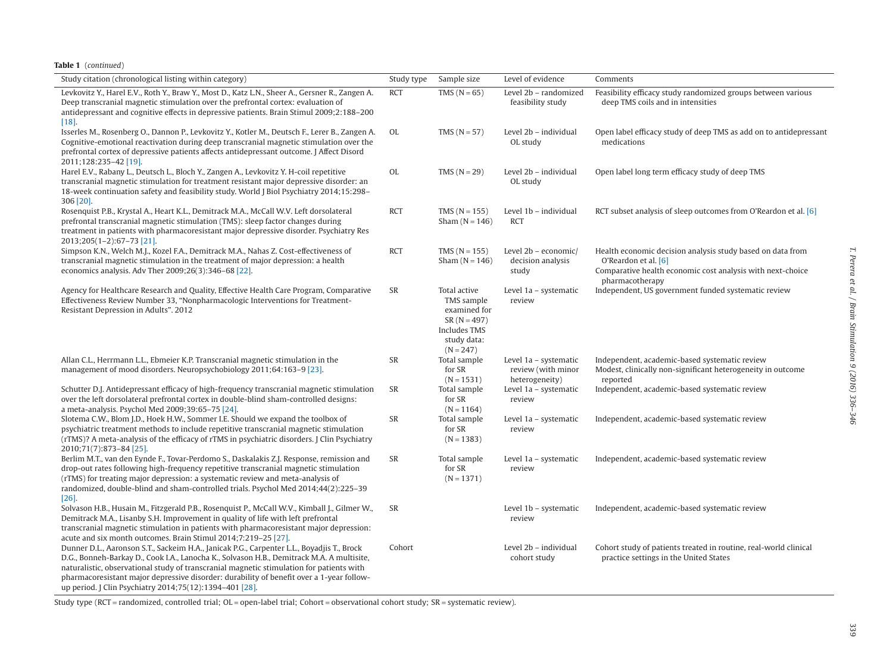**Table 1** (*continued*)

| Study citation (chronological listing within category)                                                                                                                                                                                                                                                                                                                                                                                     | Study type | Sample size                                                                                                       | Level of evidence                                             | Comments                                                                                                                                                            |
|--------------------------------------------------------------------------------------------------------------------------------------------------------------------------------------------------------------------------------------------------------------------------------------------------------------------------------------------------------------------------------------------------------------------------------------------|------------|-------------------------------------------------------------------------------------------------------------------|---------------------------------------------------------------|---------------------------------------------------------------------------------------------------------------------------------------------------------------------|
| Levkovitz Y., Harel E.V., Roth Y., Braw Y., Most D., Katz L.N., Sheer A., Gersner R., Zangen A.<br>Deep transcranial magnetic stimulation over the prefrontal cortex: evaluation of<br>antidepressant and cognitive effects in depressive patients. Brain Stimul 2009;2:188-200<br>[18]                                                                                                                                                    | <b>RCT</b> | TMS ( $N = 65$ )                                                                                                  | Level 2b - randomized<br>feasibility study                    | Feasibility efficacy study randomized groups between various<br>deep TMS coils and in intensities                                                                   |
| Isserles M., Rosenberg O., Dannon P., Levkovitz Y., Kotler M., Deutsch F., Lerer B., Zangen A.<br>Cognitive-emotional reactivation during deep transcranial magnetic stimulation over the<br>prefrontal cortex of depressive patients affects antidepressant outcome. J Affect Disord<br>2011;128:235-42 [19].                                                                                                                             | OL         | TMS ( $N = 57$ )                                                                                                  | Level 2b - individual<br>OL study                             | Open label efficacy study of deep TMS as add on to antidepressant<br>medications                                                                                    |
| Harel E.V., Rabany L., Deutsch L., Bloch Y., Zangen A., Levkovitz Y. H-coil repetitive<br>transcranial magnetic stimulation for treatment resistant major depressive disorder: an<br>18-week continuation safety and feasibility study. World J Biol Psychiatry 2014;15:298-<br>306 [20].                                                                                                                                                  | <b>OL</b>  | TMS $(N = 29)$                                                                                                    | Level 2b - individual<br>OL study                             | Open label long term efficacy study of deep TMS                                                                                                                     |
| Rosenquist P.B., Krystal A., Heart K.L., Demitrack M.A., McCall W.V. Left dorsolateral<br>prefrontal transcranial magnetic stimulation (TMS): sleep factor changes during<br>treatment in patients with pharmacoresistant major depressive disorder. Psychiatry Res<br>2013;205(1-2):67-73 [21].                                                                                                                                           | <b>RCT</b> | TMS ( $N = 155$ )<br>$Sham (N = 146)$                                                                             | Level 1b - individual<br><b>RCT</b>                           | RCT subset analysis of sleep outcomes from O'Reardon et al. [6]                                                                                                     |
| Simpson K.N., Welch M.J., Kozel F.A., Demitrack M.A., Nahas Z. Cost-effectiveness of<br>transcranial magnetic stimulation in the treatment of major depression: a health<br>economics analysis. Adv Ther 2009;26(3):346-68 [22].                                                                                                                                                                                                           | <b>RCT</b> | TMS $(N = 155)$<br>$Sham (N = 146)$                                                                               | Level 2b - economic/<br>decision analysis<br>study            | Health economic decision analysis study based on data from<br>O'Reardon et al. [6]<br>Comparative health economic cost analysis with next-choice<br>pharmacotherapy |
| Agency for Healthcare Research and Quality, Effective Health Care Program, Comparative<br>Effectiveness Review Number 33, "Nonpharmacologic Interventions for Treatment-<br>Resistant Depression in Adults". 2012                                                                                                                                                                                                                          | SR         | Total active<br>TMS sample<br>examined for<br>$SR (N = 497)$<br><b>Includes TMS</b><br>study data:<br>$(N = 247)$ | Level 1a – systematic<br>review                               | Independent, US government funded systematic review                                                                                                                 |
| Allan C.L., Herrmann L.L., Ebmeier K.P. Transcranial magnetic stimulation in the<br>management of mood disorders. Neuropsychobiology 2011;64:163-9 [23].                                                                                                                                                                                                                                                                                   | SR         | Total sample<br>for SR<br>$(N = 1531)$                                                                            | Level 1a - systematic<br>review (with minor<br>heterogeneity) | Independent, academic-based systematic review<br>Modest, clinically non-significant heterogeneity in outcome<br>reported                                            |
| Schutter D.J. Antidepressant efficacy of high-frequency transcranial magnetic stimulation<br>over the left dorsolateral prefrontal cortex in double-blind sham-controlled designs:<br>a meta-analysis. Psychol Med 2009;39:65-75 [24].                                                                                                                                                                                                     | SR         | Total sample<br>for SR<br>$(N = 1164)$                                                                            | Level 1a - systematic<br>review                               | Independent, academic-based systematic review                                                                                                                       |
| Slotema C.W., Blom J.D., Hoek H.W., Sommer I.E. Should we expand the toolbox of<br>psychiatric treatment methods to include repetitive transcranial magnetic stimulation<br>(rTMS)? A meta-analysis of the efficacy of rTMS in psychiatric disorders. J Clin Psychiatry<br>2010;71(7):873-84 [25].                                                                                                                                         | SR         | Total sample<br>for SR<br>$(N = 1383)$                                                                            | Level 1a – systematic<br>review                               | Independent, academic-based systematic review                                                                                                                       |
| Berlim M.T., van den Eynde F., Tovar-Perdomo S., Daskalakis Z.J. Response, remission and<br>drop-out rates following high-frequency repetitive transcranial magnetic stimulation<br>(rTMS) for treating major depression: a systematic review and meta-analysis of<br>randomized, double-blind and sham-controlled trials. Psychol Med 2014;44(2):225-39<br>$[26]$ .                                                                       | SR         | Total sample<br>for SR<br>$(N = 1371)$                                                                            | Level 1a - systematic<br>review                               | Independent, academic-based systematic review                                                                                                                       |
| Solvason H.B., Husain M., Fitzgerald P.B., Rosenquist P., McCall W.V., Kimball J., Gilmer W.,<br>Demitrack M.A., Lisanby S.H. Improvement in quality of life with left prefrontal<br>transcranial magnetic stimulation in patients with pharmacoresistant major depression:<br>acute and six month outcomes. Brain Stimul 2014;7:219-25 [27].                                                                                              | SR         |                                                                                                                   | Level 1b – systematic<br>review                               | Independent, academic-based systematic review                                                                                                                       |
| Dunner D.L., Aaronson S.T., Sackeim H.A., Janicak P.G., Carpenter L.L., Boyadjis T., Brock<br>D.G., Bonneh-Barkay D., Cook I.A., Lanocha K., Solvason H.B., Demitrack M.A. A multisite,<br>naturalistic, observational study of transcranial magnetic stimulation for patients with<br>pharmacoresistant major depressive disorder: durability of benefit over a 1-year follow-<br>up period. J Clin Psychiatry 2014;75(12):1394-401 [28]. | Cohort     |                                                                                                                   | Level 2b - individual<br>cohort study                         | Cohort study of patients treated in routine, real-world clinical<br>practice settings in the United States                                                          |

Study type (RCT <sup>=</sup> randomized, controlled trial; OL <sup>=</sup> open-label trial; Cohort <sup>=</sup> observational cohort study; SR <sup>=</sup> systematic review).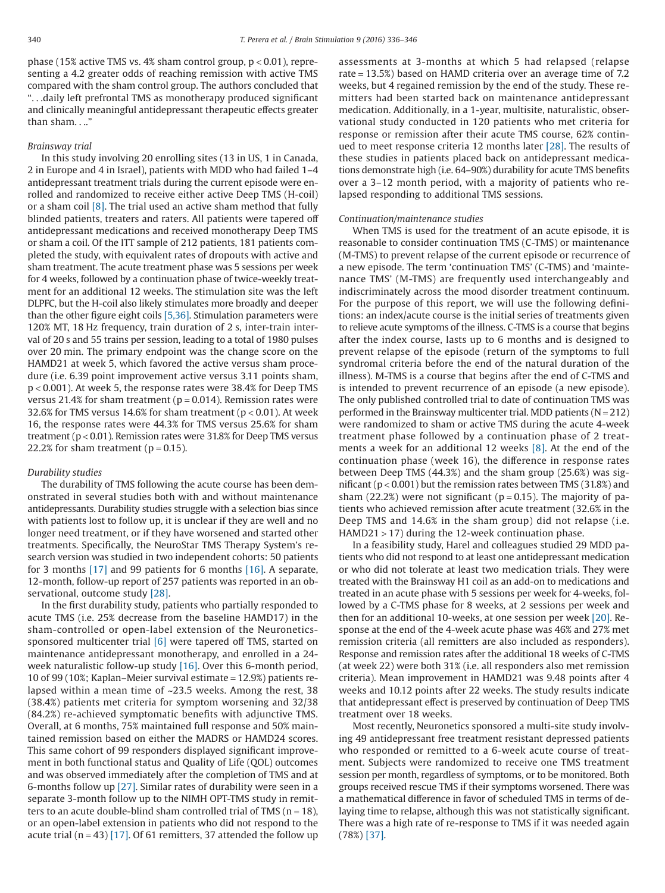phase (15% active TMS vs. 4% sham control group,  $p < 0.01$ ), representing a 4.2 greater odds of reaching remission with active TMS compared with the sham control group. The authors concluded that ". . .daily left prefrontal TMS as monotherapy produced significant and clinically meaningful antidepressant therapeutic effects greater than sham. . .."

## *Brainsway trial*

In this study involving 20 enrolling sites (13 in US, 1 in Canada, 2 in Europe and 4 in Israel), patients with MDD who had failed 1–4 antidepressant treatment trials during the current episode were enrolled and randomized to receive either active Deep TMS (H-coil) or a sham coil [\[8\].](#page-9-9) The trial used an active sham method that fully blinded patients, treaters and raters. All patients were tapered off antidepressant medications and received monotherapy Deep TMS or sham a coil. Of the ITT sample of 212 patients, 181 patients completed the study, with equivalent rates of dropouts with active and sham treatment. The acute treatment phase was 5 sessions per week for 4 weeks, followed by a continuation phase of twice-weekly treatment for an additional 12 weeks. The stimulation site was the left DLPFC, but the H-coil also likely stimulates more broadly and deeper than the other figure eight coils [\[5,36\].](#page-9-3) Stimulation parameters were 120% MT, 18 Hz frequency, train duration of 2 s, inter-train interval of 20 s and 55 trains per session, leading to a total of 1980 pulses over 20 min. The primary endpoint was the change score on the HAMD21 at week 5, which favored the active versus sham procedure (i.e. 6.39 point improvement active versus 3.11 points sham, p < 0.001). At week 5, the response rates were 38.4% for Deep TMS versus 21.4% for sham treatment ( $p = 0.014$ ). Remission rates were 32.6% for TMS versus 14.6% for sham treatment ( $p < 0.01$ ). At week 16, the response rates were 44.3% for TMS versus 25.6% for sham treatment (p < 0.01). Remission rates were 31.8% for Deep TMS versus 22.2% for sham treatment ( $p = 0.15$ ).

## *Durability studies*

The durability of TMS following the acute course has been demonstrated in several studies both with and without maintenance antidepressants. Durability studies struggle with a selection bias since with patients lost to follow up, it is unclear if they are well and no longer need treatment, or if they have worsened and started other treatments. Specifically, the NeuroStar TMS Therapy System's research version was studied in two independent cohorts: 50 patients for 3 months [\[17\]](#page-9-36) and 99 patients for 6 months [\[16\].](#page-9-37) A separate, 12-month, follow-up report of 257 patients was reported in an observational, outcome study [\[28\].](#page-9-38)

In the first durability study, patients who partially responded to acute TMS (i.e. 25% decrease from the baseline HAMD17) in the sham-controlled or open-label extension of the Neuroneticssponsored multicenter trial [\[6\]](#page-9-8) were tapered off TMS, started on maintenance antidepressant monotherapy, and enrolled in a 24 week naturalistic follow-up study [\[16\].](#page-9-37) Over this 6-month period, 10 of 99 (10%; Kaplan–Meier survival estimate = 12.9%) patients relapsed within a mean time of ~23.5 weeks. Among the rest, 38 (38.4%) patients met criteria for symptom worsening and 32/38 (84.2%) re-achieved symptomatic benefits with adjunctive TMS. Overall, at 6 months, 75% maintained full response and 50% maintained remission based on either the MADRS or HAMD24 scores. This same cohort of 99 responders displayed significant improvement in both functional status and Quality of Life (QOL) outcomes and was observed immediately after the completion of TMS and at 6-months follow up [\[27\].](#page-9-39) Similar rates of durability were seen in a separate 3-month follow up to the NIMH OPT-TMS study in remitters to an acute double-blind sham controlled trial of TMS ( $n = 18$ ), or an open-label extension in patients who did not respond to the acute trial  $(n = 43)$  [\[17\].](#page-9-36) Of 61 remitters, 37 attended the follow up

assessments at 3-months at which 5 had relapsed (relapse rate = 13.5%) based on HAMD criteria over an average time of 7.2 weeks, but 4 regained remission by the end of the study. These remitters had been started back on maintenance antidepressant medication. Additionally, in a 1-year, multisite, naturalistic, observational study conducted in 120 patients who met criteria for response or remission after their acute TMS course, 62% continued to meet response criteria 12 months later [\[28\].](#page-9-38) The results of these studies in patients placed back on antidepressant medications demonstrate high (i.e. 64–90%) durability for acute TMS benefits over a 3–12 month period, with a majority of patients who relapsed responding to additional TMS sessions.

### *Continuation/maintenance studies*

When TMS is used for the treatment of an acute episode, it is reasonable to consider continuation TMS (C-TMS) or maintenance (M-TMS) to prevent relapse of the current episode or recurrence of a new episode. The term 'continuation TMS' (C-TMS) and 'maintenance TMS' (M-TMS) are frequently used interchangeably and indiscriminately across the mood disorder treatment continuum. For the purpose of this report, we will use the following definitions: an index/acute course is the initial series of treatments given to relieve acute symptoms of the illness. C-TMS is a course that begins after the index course, lasts up to 6 months and is designed to prevent relapse of the episode (return of the symptoms to full syndromal criteria before the end of the natural duration of the illness). M-TMS is a course that begins after the end of C-TMS and is intended to prevent recurrence of an episode (a new episode). The only published controlled trial to date of continuation TMS was performed in the Brainsway multicenter trial. MDD patients  $(N = 212)$ were randomized to sham or active TMS during the acute 4-week treatment phase followed by a continuation phase of 2 treat-ments a week for an additional 12 weeks [\[8\].](#page-9-9) At the end of the continuation phase (week 16), the difference in response rates between Deep TMS (44.3%) and the sham group (25.6%) was significant ( $p < 0.001$ ) but the remission rates between TMS (31.8%) and sham (22.2%) were not significant ( $p = 0.15$ ). The majority of patients who achieved remission after acute treatment (32.6% in the Deep TMS and 14.6% in the sham group) did not relapse (i.e. HAMD21 > 17) during the 12-week continuation phase.

In a feasibility study, Harel and colleagues studied 29 MDD patients who did not respond to at least one antidepressant medication or who did not tolerate at least two medication trials. They were treated with the Brainsway H1 coil as an add-on to medications and treated in an acute phase with 5 sessions per week for 4-weeks, followed by a C-TMS phase for 8 weeks, at 2 sessions per week and then for an additional 10-weeks, at one session per week [\[20\].](#page-9-40) Response at the end of the 4-week acute phase was 46% and 27% met remission criteria (all remitters are also included as responders). Response and remission rates after the additional 18 weeks of C-TMS (at week 22) were both 31% (i.e. all responders also met remission criteria). Mean improvement in HAMD21 was 9.48 points after 4 weeks and 10.12 points after 22 weeks. The study results indicate that antidepressant effect is preserved by continuation of Deep TMS treatment over 18 weeks.

Most recently, Neuronetics sponsored a multi-site study involving 49 antidepressant free treatment resistant depressed patients who responded or remitted to a 6-week acute course of treatment. Subjects were randomized to receive one TMS treatment session per month, regardless of symptoms, or to be monitored. Both groups received rescue TMS if their symptoms worsened. There was a mathematical difference in favor of scheduled TMS in terms of delaying time to relapse, although this was not statistically significant. There was a high rate of re-response to TMS if it was needed again (78%) [\[37\].](#page-9-41)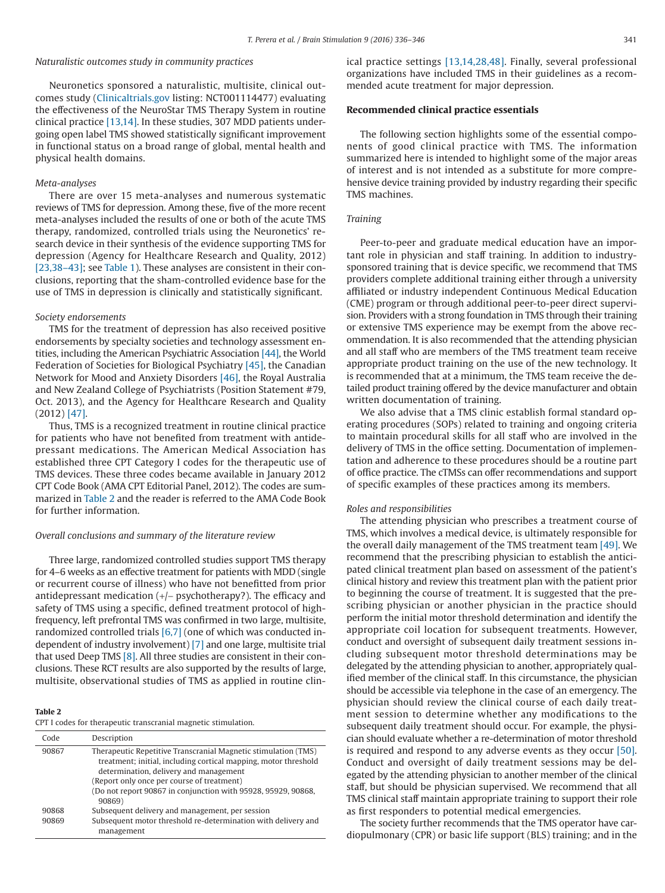## *Naturalistic outcomes study in community practices*

Neuronetics sponsored a naturalistic, multisite, clinical outcomes study [\(Clinicaltrials.gov](http://Clinicaltrials.gov) listing: NCT001114477) evaluating the effectiveness of the NeuroStar TMS Therapy System in routine clinical practice [\[13,14\].](#page-9-42) In these studies, 307 MDD patients undergoing open label TMS showed statistically significant improvement in functional status on a broad range of global, mental health and physical health domains.

#### *Meta-analyses*

There are over 15 meta-analyses and numerous systematic reviews of TMS for depression. Among these, five of the more recent meta-analyses included the results of one or both of the acute TMS therapy, randomized, controlled trials using the Neuronetics' research device in their synthesis of the evidence supporting TMS for depression (Agency for Healthcare Research and Quality, 2012) [\[23,38–43\];](#page-9-43) see [Table 1\)](#page-2-0). These analyses are consistent in their conclusions, reporting that the sham-controlled evidence base for the use of TMS in depression is clinically and statistically significant.

#### *Society endorsements*

TMS for the treatment of depression has also received positive endorsements by specialty societies and technology assessment entities, including the American Psychiatric Association [\[44\],](#page-10-0) the World Federation of Societies for Biological Psychiatry [\[45\],](#page-10-1) the Canadian Network for Mood and Anxiety Disorders [\[46\],](#page-10-2) the Royal Australia and New Zealand College of Psychiatrists (Position Statement #79, Oct. 2013), and the Agency for Healthcare Research and Quality (2012) [\[47\].](#page-10-3)

Thus, TMS is a recognized treatment in routine clinical practice for patients who have not benefited from treatment with antidepressant medications. The American Medical Association has established three CPT Category I codes for the therapeutic use of TMS devices. These three codes became available in January 2012 CPT Code Book (AMA CPT Editorial Panel, 2012). The codes are summarized in Table 2 and the reader is referred to the AMA Code Book for further information.

## *Overall conclusions and summary of the literature review*

Three large, randomized controlled studies support TMS therapy for 4–6 weeks as an effective treatment for patients with MDD (single or recurrent course of illness) who have not benefitted from prior antidepressant medication (+/− psychotherapy?). The efficacy and safety of TMS using a specific, defined treatment protocol of highfrequency, left prefrontal TMS was confirmed in two large, multisite, randomized controlled trials [\[6,7\]](#page-9-8) (one of which was conducted independent of industry involvement) [\[7\]](#page-9-10) and one large, multisite trial that used Deep TMS [\[8\].](#page-9-9) All three studies are consistent in their conclusions. These RCT results are also supported by the results of large, multisite, observational studies of TMS as applied in routine clin-

## **Table 2**

|  | CPT I codes for therapeutic transcranial magnetic stimulation. |  |  |  |
|--|----------------------------------------------------------------|--|--|--|
|--|----------------------------------------------------------------|--|--|--|

|       | Description                                                                                                                       |
|-------|-----------------------------------------------------------------------------------------------------------------------------------|
| 90867 | Therapeutic Repetitive Transcranial Magnetic stimulation (TMS)<br>treatment; initial, including cortical mapping, motor threshold |
|       | determination, delivery and management                                                                                            |
|       | (Report only once per course of treatment)                                                                                        |
|       | (Do not report 90867 in conjunction with 95928, 95929, 90868,<br>90869)                                                           |
| 90868 | Subsequent delivery and management, per session                                                                                   |
| 90869 | Subsequent motor threshold re-determination with delivery and<br>management                                                       |
|       | Code                                                                                                                              |

ical practice settings [\[13,14,28,48\].](#page-9-42) Finally, several professional organizations have included TMS in their guidelines as a recommended acute treatment for major depression.

## **Recommended clinical practice essentials**

The following section highlights some of the essential components of good clinical practice with TMS. The information summarized here is intended to highlight some of the major areas of interest and is not intended as a substitute for more comprehensive device training provided by industry regarding their specific TMS machines.

#### *Training*

Peer-to-peer and graduate medical education have an important role in physician and staff training. In addition to industrysponsored training that is device specific, we recommend that TMS providers complete additional training either through a university affiliated or industry independent Continuous Medical Education (CME) program or through additional peer-to-peer direct supervision. Providers with a strong foundation in TMS through their training or extensive TMS experience may be exempt from the above recommendation. It is also recommended that the attending physician and all staff who are members of the TMS treatment team receive appropriate product training on the use of the new technology. It is recommended that at a minimum, the TMS team receive the detailed product training offered by the device manufacturer and obtain written documentation of training.

We also advise that a TMS clinic establish formal standard operating procedures (SOPs) related to training and ongoing criteria to maintain procedural skills for all staff who are involved in the delivery of TMS in the office setting. Documentation of implementation and adherence to these procedures should be a routine part of office practice. The cTMSs can offer recommendations and support of specific examples of these practices among its members.

## *Roles and responsibilities*

The attending physician who prescribes a treatment course of TMS, which involves a medical device, is ultimately responsible for the overall daily management of the TMS treatment team [\[49\].](#page-10-4) We recommend that the prescribing physician to establish the anticipated clinical treatment plan based on assessment of the patient's clinical history and review this treatment plan with the patient prior to beginning the course of treatment. It is suggested that the prescribing physician or another physician in the practice should perform the initial motor threshold determination and identify the appropriate coil location for subsequent treatments. However, conduct and oversight of subsequent daily treatment sessions including subsequent motor threshold determinations may be delegated by the attending physician to another, appropriately qualified member of the clinical staff. In this circumstance, the physician should be accessible via telephone in the case of an emergency. The physician should review the clinical course of each daily treatment session to determine whether any modifications to the subsequent daily treatment should occur. For example, the physician should evaluate whether a re-determination of motor threshold is required and respond to any adverse events as they occur [\[50\].](#page-10-5) Conduct and oversight of daily treatment sessions may be delegated by the attending physician to another member of the clinical staff, but should be physician supervised. We recommend that all TMS clinical staff maintain appropriate training to support their role as first responders to potential medical emergencies.

The society further recommends that the TMS operator have cardiopulmonary (CPR) or basic life support (BLS) training; and in the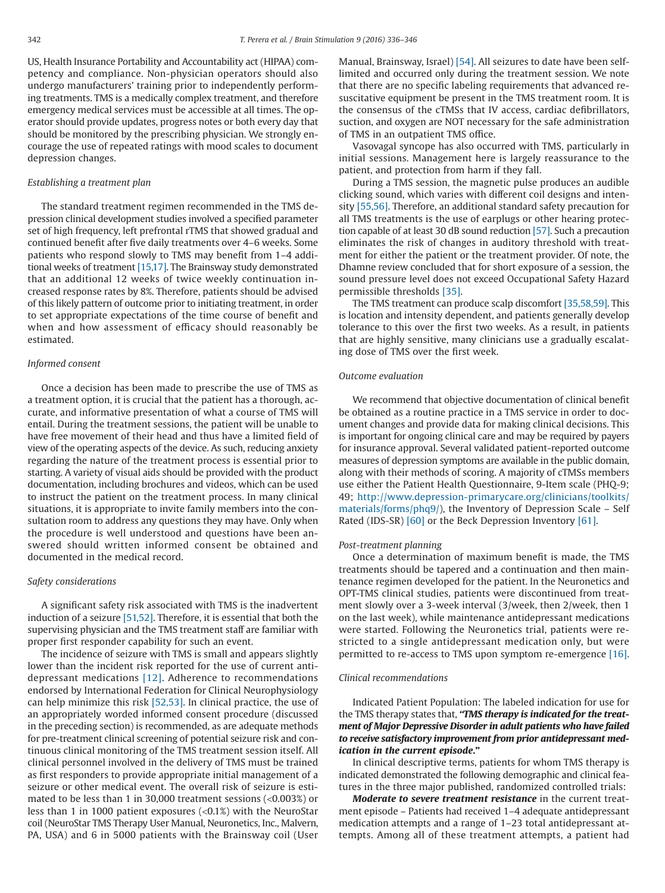US, Health Insurance Portability and Accountability act (HIPAA) competency and compliance. Non-physician operators should also undergo manufacturers' training prior to independently performing treatments. TMS is a medically complex treatment, and therefore emergency medical services must be accessible at all times. The operator should provide updates, progress notes or both every day that should be monitored by the prescribing physician. We strongly encourage the use of repeated ratings with mood scales to document depression changes.

## *Establishing a treatment plan*

The standard treatment regimen recommended in the TMS depression clinical development studies involved a specified parameter set of high frequency, left prefrontal rTMS that showed gradual and continued benefit after five daily treatments over 4–6 weeks. Some patients who respond slowly to TMS may benefit from 1–4 additional weeks of treatment [\[15,17\].](#page-9-44) The Brainsway study demonstrated that an additional 12 weeks of twice weekly continuation increased response rates by 8%. Therefore, patients should be advised of this likely pattern of outcome prior to initiating treatment, in order to set appropriate expectations of the time course of benefit and when and how assessment of efficacy should reasonably be estimated.

## *Informed consent*

Once a decision has been made to prescribe the use of TMS as a treatment option, it is crucial that the patient has a thorough, accurate, and informative presentation of what a course of TMS will entail. During the treatment sessions, the patient will be unable to have free movement of their head and thus have a limited field of view of the operating aspects of the device. As such, reducing anxiety regarding the nature of the treatment process is essential prior to starting. A variety of visual aids should be provided with the product documentation, including brochures and videos, which can be used to instruct the patient on the treatment process. In many clinical situations, it is appropriate to invite family members into the consultation room to address any questions they may have. Only when the procedure is well understood and questions have been answered should written informed consent be obtained and documented in the medical record.

# *Safety considerations*

A significant safety risk associated with TMS is the inadvertent induction of a seizure [\[51,52\].](#page-10-6) Therefore, it is essential that both the supervising physician and the TMS treatment staff are familiar with proper first responder capability for such an event.

The incidence of seizure with TMS is small and appears slightly lower than the incident risk reported for the use of current antidepressant medications [\[12\].](#page-9-45) Adherence to recommendations endorsed by International Federation for Clinical Neurophysiology can help minimize this risk [\[52,53\].](#page-10-7) In clinical practice, the use of an appropriately worded informed consent procedure (discussed in the preceding section) is recommended, as are adequate methods for pre-treatment clinical screening of potential seizure risk and continuous clinical monitoring of the TMS treatment session itself. All clinical personnel involved in the delivery of TMS must be trained as first responders to provide appropriate initial management of a seizure or other medical event. The overall risk of seizure is estimated to be less than 1 in 30,000 treatment sessions (<0.003%) or less than 1 in 1000 patient exposures (<0.1%) with the NeuroStar coil (NeuroStar TMS Therapy User Manual, Neuronetics, Inc., Malvern, PA, USA) and 6 in 5000 patients with the Brainsway coil (User

Manual, Brainsway, Israel) [\[54\].](#page-10-8) All seizures to date have been selflimited and occurred only during the treatment session. We note that there are no specific labeling requirements that advanced resuscitative equipment be present in the TMS treatment room. It is the consensus of the cTMSs that IV access, cardiac defibrillators, suction, and oxygen are NOT necessary for the safe administration of TMS in an outpatient TMS office.

Vasovagal syncope has also occurred with TMS, particularly in initial sessions. Management here is largely reassurance to the patient, and protection from harm if they fall.

During a TMS session, the magnetic pulse produces an audible clicking sound, which varies with different coil designs and intensity [\[55,56\].](#page-10-9) Therefore, an additional standard safety precaution for all TMS treatments is the use of earplugs or other hearing protection capable of at least 30 dB sound reduction [\[57\].](#page-10-10) Such a precaution eliminates the risk of changes in auditory threshold with treatment for either the patient or the treatment provider. Of note, the Dhamne review concluded that for short exposure of a session, the sound pressure level does not exceed Occupational Safety Hazard permissible thresholds [\[35\].](#page-9-46)

The TMS treatment can produce scalp discomfort [\[35,58,59\].](#page-9-46) This is location and intensity dependent, and patients generally develop tolerance to this over the first two weeks. As a result, in patients that are highly sensitive, many clinicians use a gradually escalating dose of TMS over the first week.

## *Outcome evaluation*

We recommend that objective documentation of clinical benefit be obtained as a routine practice in a TMS service in order to document changes and provide data for making clinical decisions. This is important for ongoing clinical care and may be required by payers for insurance approval. Several validated patient-reported outcome measures of depression symptoms are available in the public domain, along with their methods of scoring. A majority of cTMSs members use either the Patient Health Questionnaire, 9-Item scale (PHQ-9; 49; [http://www.depression-primarycare.org/clinicians/toolkits/](http://www.depression-primarycare.org/clinicians/toolkits/materials/forms/phq9/) [materials/forms/phq9/\)](http://www.depression-primarycare.org/clinicians/toolkits/materials/forms/phq9/), the Inventory of Depression Scale – Self Rated (IDS-SR) [\[60\]](#page-10-11) or the Beck Depression Inventory [\[61\].](#page-10-12)

#### *Post-treatment planning*

Once a determination of maximum benefit is made, the TMS treatments should be tapered and a continuation and then maintenance regimen developed for the patient. In the Neuronetics and OPT-TMS clinical studies, patients were discontinued from treatment slowly over a 3-week interval (3/week, then 2/week, then 1 on the last week), while maintenance antidepressant medications were started. Following the Neuronetics trial, patients were restricted to a single antidepressant medication only, but were permitted to re-access to TMS upon symptom re-emergence [\[16\].](#page-9-37)

## *Clinical recommendations*

Indicated Patient Population: The labeled indication for use for the TMS therapy states that, *"TMS therapy is indicated for the treatment of Major Depressive Disorder in adult patients who have failed to receive satisfactory improvement from prior antidepressant medication in the current episode***."**

In clinical descriptive terms, patients for whom TMS therapy is indicated demonstrated the following demographic and clinical features in the three major published, randomized controlled trials:

*Moderate to severe treatment resistance* in the current treatment episode – Patients had received 1–4 adequate antidepressant medication attempts and a range of 1–23 total antidepressant attempts. Among all of these treatment attempts, a patient had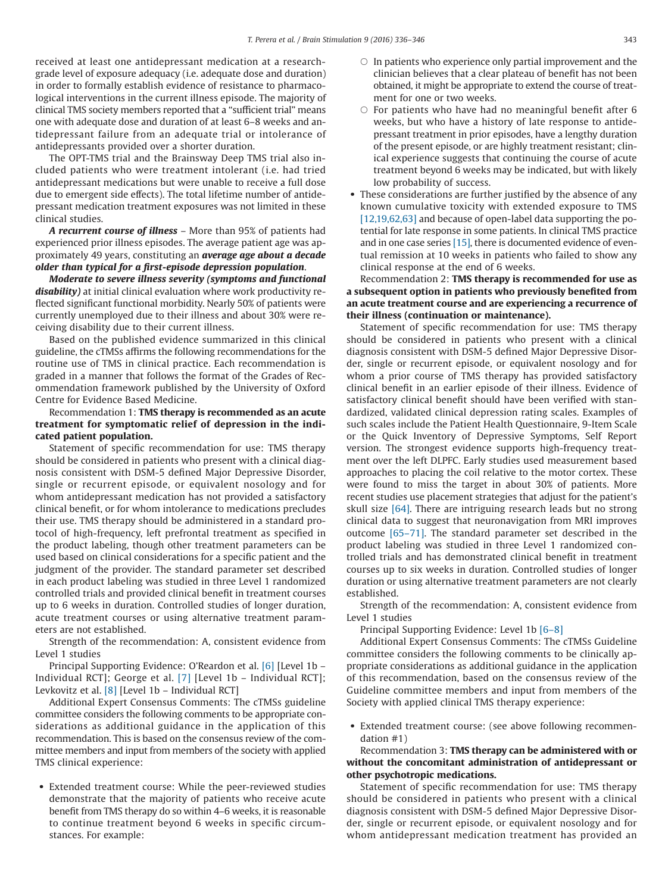received at least one antidepressant medication at a researchgrade level of exposure adequacy (i.e. adequate dose and duration) in order to formally establish evidence of resistance to pharmacological interventions in the current illness episode. The majority of clinical TMS society members reported that a "sufficient trial" means one with adequate dose and duration of at least 6–8 weeks and antidepressant failure from an adequate trial or intolerance of antidepressants provided over a shorter duration.

The OPT-TMS trial and the Brainsway Deep TMS trial also included patients who were treatment intolerant (i.e. had tried antidepressant medications but were unable to receive a full dose due to emergent side effects). The total lifetime number of antidepressant medication treatment exposures was not limited in these clinical studies.

*A recurrent course of illness* – More than 95% of patients had experienced prior illness episodes. The average patient age was approximately 49 years, constituting an *average age about a decade older than typical for a first-episode depression population*.

*Moderate to severe illness severity (symptoms and functional disability)* at initial clinical evaluation where work productivity reflected significant functional morbidity. Nearly 50% of patients were currently unemployed due to their illness and about 30% were receiving disability due to their current illness.

Based on the published evidence summarized in this clinical guideline, the cTMSs affirms the following recommendations for the routine use of TMS in clinical practice. Each recommendation is graded in a manner that follows the format of the Grades of Recommendation framework published by the University of Oxford Centre for Evidence Based Medicine.

# Recommendation 1: **TMS therapy is recommended as an acute treatment for symptomatic relief of depression in the indicated patient population.**

Statement of specific recommendation for use: TMS therapy should be considered in patients who present with a clinical diagnosis consistent with DSM-5 defined Major Depressive Disorder, single or recurrent episode, or equivalent nosology and for whom antidepressant medication has not provided a satisfactory clinical benefit, or for whom intolerance to medications precludes their use. TMS therapy should be administered in a standard protocol of high-frequency, left prefrontal treatment as specified in the product labeling, though other treatment parameters can be used based on clinical considerations for a specific patient and the judgment of the provider. The standard parameter set described in each product labeling was studied in three Level 1 randomized controlled trials and provided clinical benefit in treatment courses up to 6 weeks in duration. Controlled studies of longer duration, acute treatment courses or using alternative treatment parameters are not established.

Strength of the recommendation: A, consistent evidence from Level 1 studies

Principal Supporting Evidence: O'Reardon et al. [\[6\]](#page-9-8) [Level 1b – Individual RCT]; George et al. [\[7\]](#page-9-10) [Level 1b – Individual RCT]; Levkovitz et al. [\[8\]](#page-9-9) [Level 1b - Individual RCT]

Additional Expert Consensus Comments: The cTMSs guideline committee considers the following comments to be appropriate considerations as additional guidance in the application of this recommendation. This is based on the consensus review of the committee members and input from members of the society with applied TMS clinical experience:

• Extended treatment course: While the peer-reviewed studies demonstrate that the majority of patients who receive acute benefit from TMS therapy do so within 4–6 weeks, it is reasonable to continue treatment beyond 6 weeks in specific circumstances. For example:

- $\circ$  In patients who experience only partial improvement and the clinician believes that a clear plateau of benefit has not been obtained, it might be appropriate to extend the course of treatment for one or two weeks.
- $\circ$  For patients who have had no meaningful benefit after 6 weeks, but who have a history of late response to antidepressant treatment in prior episodes, have a lengthy duration of the present episode, or are highly treatment resistant; clinical experience suggests that continuing the course of acute treatment beyond 6 weeks may be indicated, but with likely low probability of success.
- These considerations are further justified by the absence of any known cumulative toxicity with extended exposure to TMS [\[12,19,62,63\]](#page-9-45) and because of open-label data supporting the potential for late response in some patients. In clinical TMS practice and in one case series [\[15\],](#page-9-44) there is documented evidence of eventual remission at 10 weeks in patients who failed to show any clinical response at the end of 6 weeks.

# Recommendation 2: **TMS therapy is recommended for use as a subsequent option in patients who previously benefited from an acute treatment course and are experiencing a recurrence of their illness (continuation or maintenance).**

Statement of specific recommendation for use: TMS therapy should be considered in patients who present with a clinical diagnosis consistent with DSM-5 defined Major Depressive Disorder, single or recurrent episode, or equivalent nosology and for whom a prior course of TMS therapy has provided satisfactory clinical benefit in an earlier episode of their illness. Evidence of satisfactory clinical benefit should have been verified with standardized, validated clinical depression rating scales. Examples of such scales include the Patient Health Questionnaire, 9-Item Scale or the Quick Inventory of Depressive Symptoms, Self Report version. The strongest evidence supports high-frequency treatment over the left DLPFC. Early studies used measurement based approaches to placing the coil relative to the motor cortex. These were found to miss the target in about 30% of patients. More recent studies use placement strategies that adjust for the patient's skull size [\[64\].](#page-10-13) There are intriguing research leads but no strong clinical data to suggest that neuronavigation from MRI improves outcome [\[65–71\].](#page-10-14) The standard parameter set described in the product labeling was studied in three Level 1 randomized controlled trials and has demonstrated clinical benefit in treatment courses up to six weeks in duration. Controlled studies of longer duration or using alternative treatment parameters are not clearly established.

Strength of the recommendation: A, consistent evidence from Level 1 studies

Principal Supporting Evidence: Level 1b [\[6–8\]](#page-9-8)

Additional Expert Consensus Comments: The cTMSs Guideline committee considers the following comments to be clinically appropriate considerations as additional guidance in the application of this recommendation, based on the consensus review of the Guideline committee members and input from members of the Society with applied clinical TMS therapy experience:

• Extended treatment course: (see above following recommendation #1)

# Recommendation 3: **TMS therapy can be administered with or without the concomitant administration of antidepressant or other psychotropic medications.**

Statement of specific recommendation for use: TMS therapy should be considered in patients who present with a clinical diagnosis consistent with DSM-5 defined Major Depressive Disorder, single or recurrent episode, or equivalent nosology and for whom antidepressant medication treatment has provided an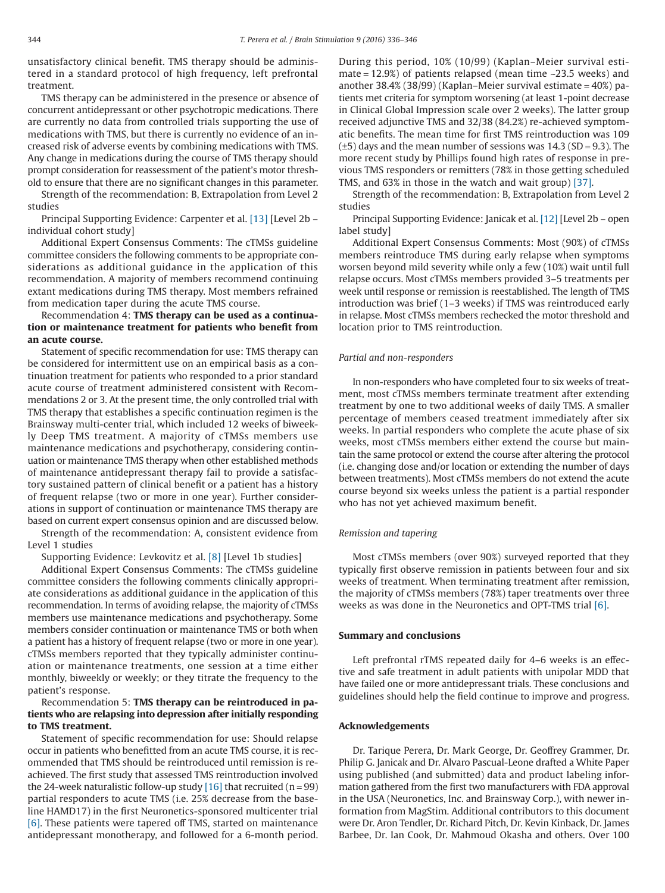unsatisfactory clinical benefit. TMS therapy should be administered in a standard protocol of high frequency, left prefrontal treatment.

TMS therapy can be administered in the presence or absence of concurrent antidepressant or other psychotropic medications. There are currently no data from controlled trials supporting the use of medications with TMS, but there is currently no evidence of an increased risk of adverse events by combining medications with TMS. Any change in medications during the course of TMS therapy should prompt consideration for reassessment of the patient's motor threshold to ensure that there are no significant changes in this parameter.

Strength of the recommendation: B, Extrapolation from Level 2 studies

Principal Supporting Evidence: Carpenter et al. [\[13\]](#page-9-42) [Level 2b – individual cohort study]

Additional Expert Consensus Comments: The cTMSs guideline committee considers the following comments to be appropriate considerations as additional guidance in the application of this recommendation. A majority of members recommend continuing extant medications during TMS therapy. Most members refrained from medication taper during the acute TMS course.

# Recommendation 4: **TMS therapy can be used as a continuation or maintenance treatment for patients who benefit from an acute course.**

Statement of specific recommendation for use: TMS therapy can be considered for intermittent use on an empirical basis as a continuation treatment for patients who responded to a prior standard acute course of treatment administered consistent with Recommendations 2 or 3. At the present time, the only controlled trial with TMS therapy that establishes a specific continuation regimen is the Brainsway multi-center trial, which included 12 weeks of biweekly Deep TMS treatment. A majority of cTMSs members use maintenance medications and psychotherapy, considering continuation or maintenance TMS therapy when other established methods of maintenance antidepressant therapy fail to provide a satisfactory sustained pattern of clinical benefit or a patient has a history of frequent relapse (two or more in one year). Further considerations in support of continuation or maintenance TMS therapy are based on current expert consensus opinion and are discussed below.

Strength of the recommendation: A, consistent evidence from Level 1 studies

Supporting Evidence: Levkovitz et al. [\[8\]](#page-9-9) [Level 1b studies]

Additional Expert Consensus Comments: The cTMSs guideline committee considers the following comments clinically appropriate considerations as additional guidance in the application of this recommendation. In terms of avoiding relapse, the majority of cTMSs members use maintenance medications and psychotherapy. Some members consider continuation or maintenance TMS or both when a patient has a history of frequent relapse (two or more in one year). cTMSs members reported that they typically administer continuation or maintenance treatments, one session at a time either monthly, biweekly or weekly; or they titrate the frequency to the patient's response.

# Recommendation 5: **TMS therapy can be reintroduced in patients who are relapsing into depression after initially responding to TMS treatment.**

Statement of specific recommendation for use: Should relapse occur in patients who benefitted from an acute TMS course, it is recommended that TMS should be reintroduced until remission is reachieved. The first study that assessed TMS reintroduction involved the 24-week naturalistic follow-up study  $[16]$  that recruited (n = 99) partial responders to acute TMS (i.e. 25% decrease from the baseline HAMD17) in the first Neuronetics-sponsored multicenter trial [\[6\].](#page-9-8) These patients were tapered off TMS, started on maintenance antidepressant monotherapy, and followed for a 6-month period.

During this period, 10% (10/99) (Kaplan–Meier survival estimate =  $12.9%$ ) of patients relapsed (mean time  $\sim$ 23.5 weeks) and another 38.4% (38/99) (Kaplan–Meier survival estimate = 40%) patients met criteria for symptom worsening (at least 1-point decrease in Clinical Global Impression scale over 2 weeks). The latter group received adjunctive TMS and 32/38 (84.2%) re-achieved symptomatic benefits. The mean time for first TMS reintroduction was 109  $(\pm 5)$  days and the mean number of sessions was 14.3 (SD = 9.3). The more recent study by Phillips found high rates of response in previous TMS responders or remitters (78% in those getting scheduled TMS, and 63% in those in the watch and wait group) [\[37\].](#page-9-41)

Strength of the recommendation: B, Extrapolation from Level 2 studies

Principal Supporting Evidence: Janicak et al. [\[12\]](#page-9-45) [Level 2b – open label study]

Additional Expert Consensus Comments: Most (90%) of cTMSs members reintroduce TMS during early relapse when symptoms worsen beyond mild severity while only a few (10%) wait until full relapse occurs. Most cTMSs members provided 3–5 treatments per week until response or remission is reestablished. The length of TMS introduction was brief (1–3 weeks) if TMS was reintroduced early in relapse. Most cTMSs members rechecked the motor threshold and location prior to TMS reintroduction.

## *Partial and non-responders*

In non-responders who have completed four to six weeks of treatment, most cTMSs members terminate treatment after extending treatment by one to two additional weeks of daily TMS. A smaller percentage of members ceased treatment immediately after six weeks. In partial responders who complete the acute phase of six weeks, most cTMSs members either extend the course but maintain the same protocol or extend the course after altering the protocol (i.e. changing dose and/or location or extending the number of days between treatments). Most cTMSs members do not extend the acute course beyond six weeks unless the patient is a partial responder who has not yet achieved maximum benefit.

## *Remission and tapering*

Most cTMSs members (over 90%) surveyed reported that they typically first observe remission in patients between four and six weeks of treatment. When terminating treatment after remission, the majority of cTMSs members (78%) taper treatments over three weeks as was done in the Neuronetics and OPT-TMS trial [\[6\].](#page-9-8)

#### **Summary and conclusions**

Left prefrontal rTMS repeated daily for 4–6 weeks is an effective and safe treatment in adult patients with unipolar MDD that have failed one or more antidepressant trials. These conclusions and guidelines should help the field continue to improve and progress.

## **Acknowledgements**

Dr. Tarique Perera, Dr. Mark George, Dr. Geoffrey Grammer, Dr. Philip G. Janicak and Dr. Alvaro Pascual-Leone drafted a White Paper using published (and submitted) data and product labeling information gathered from the first two manufacturers with FDA approval in the USA (Neuronetics, Inc. and Brainsway Corp.), with newer information from MagStim. Additional contributors to this document were Dr. Aron Tendler, Dr. Richard Pitch, Dr. Kevin Kinback, Dr. James Barbee, Dr. Ian Cook, Dr. Mahmoud Okasha and others. Over 100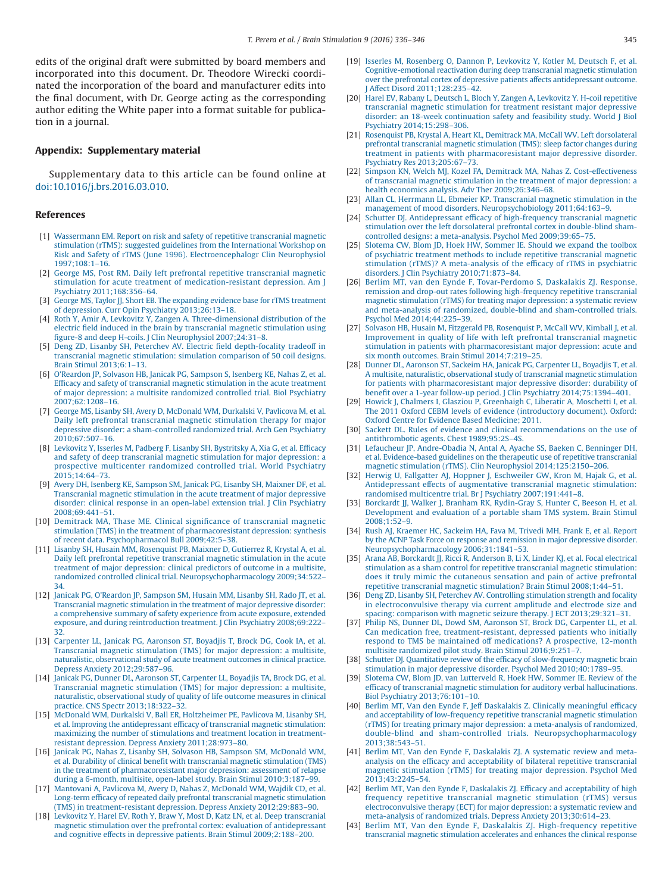<span id="page-9-25"></span><span id="page-9-24"></span><span id="page-9-23"></span><span id="page-9-22"></span>edits of the original draft were submitted by board members and incorporated into this document. Dr. Theodore Wirecki coordinated the incorporation of the board and manufacturer edits into the final document, with Dr. George acting as the corresponding author editing the White paper into a format suitable for publication in a journal.

#### **Appendix: Supplementary material**

Supplementary data to this article can be found online at [doi:10.1016/j.brs.2016.03.010.](http://dx.doi.org/10.1016/j.brs.2016.03.010)

## **References**

- <span id="page-9-0"></span>[1] [Wassermann EM. Report on risk and safety of repetitive transcranial magnetic](http://refhub.elsevier.com/S1935-861X(16)30038-9/sr0010) [stimulation \(rTMS\): suggested guidelines from the International Workshop on](http://refhub.elsevier.com/S1935-861X(16)30038-9/sr0010) [Risk and Safety of rTMS \(June 1996\). Electroencephalogr Clin Neurophysiol](http://refhub.elsevier.com/S1935-861X(16)30038-9/sr0010) [1997;108:1–16.](http://refhub.elsevier.com/S1935-861X(16)30038-9/sr0010)
- <span id="page-9-1"></span>[2] [George MS, Post RM. Daily left prefrontal repetitive transcranial magnetic](http://refhub.elsevier.com/S1935-861X(16)30038-9/sr0015) [stimulation for acute treatment of medication-resistant depression. Am J](http://refhub.elsevier.com/S1935-861X(16)30038-9/sr0015) [Psychiatry 2011;168:356–64.](http://refhub.elsevier.com/S1935-861X(16)30038-9/sr0015)
- [3] [George MS, Taylor JJ, Short EB. The expanding evidence base for rTMS treatment](http://refhub.elsevier.com/S1935-861X(16)30038-9/sr0020) [of depression. Curr Opin Psychiatry 2013;26:13–18.](http://refhub.elsevier.com/S1935-861X(16)30038-9/sr0020)
- <span id="page-9-2"></span>[4] [Roth Y, Amir A, Levkovitz Y, Zangen A. Three-dimensional distribution of the](http://refhub.elsevier.com/S1935-861X(16)30038-9/sr0025) [electric field induced in the brain by transcranial magnetic stimulation using](http://refhub.elsevier.com/S1935-861X(16)30038-9/sr0025) [figure-8 and deep H-coils. J Clin Neurophysiol 2007;24:31–8.](http://refhub.elsevier.com/S1935-861X(16)30038-9/sr0025)
- <span id="page-9-3"></span>[5] [Deng ZD, Lisanby SH, Peterchev AV. Electric field depth-focality tradeoff in](http://refhub.elsevier.com/S1935-861X(16)30038-9/sr0030) [transcranial magnetic stimulation: simulation comparison of 50 coil designs.](http://refhub.elsevier.com/S1935-861X(16)30038-9/sr0030) [Brain Stimul 2013;6:1–13.](http://refhub.elsevier.com/S1935-861X(16)30038-9/sr0030)
- <span id="page-9-8"></span>[6] [O'Reardon JP, Solvason HB, Janicak PG, Sampson S, Isenberg KE, Nahas Z, et al.](http://refhub.elsevier.com/S1935-861X(16)30038-9/sr0035) [Efficacy and safety of transcranial magnetic stimulation in the acute treatment](http://refhub.elsevier.com/S1935-861X(16)30038-9/sr0035) [of major depression: a multisite randomized controlled trial. Biol Psychiatry](http://refhub.elsevier.com/S1935-861X(16)30038-9/sr0035) [2007;62:1208–16.](http://refhub.elsevier.com/S1935-861X(16)30038-9/sr0035)
- <span id="page-9-10"></span>[7] [George MS, Lisanby SH, Avery D, McDonald WM, Durkalski V, Pavlicova M, et al.](http://refhub.elsevier.com/S1935-861X(16)30038-9/sr0040) [Daily left prefrontal transcranial magnetic stimulation therapy for major](http://refhub.elsevier.com/S1935-861X(16)30038-9/sr0040) [depressive disorder: a sham-controlled randomized trial. Arch Gen Psychiatry](http://refhub.elsevier.com/S1935-861X(16)30038-9/sr0040) [2010;67:507–16.](http://refhub.elsevier.com/S1935-861X(16)30038-9/sr0040)
- <span id="page-9-9"></span>[8] [Levkovitz Y, Isserles M, Padberg F, Lisanby SH, Bystritsky A, Xia G, et al. Efficacy](http://refhub.elsevier.com/S1935-861X(16)30038-9/sr0045) [and safety of deep transcranial magnetic stimulation for major depression: a](http://refhub.elsevier.com/S1935-861X(16)30038-9/sr0045) [prospective multicenter randomized controlled trial. World Psychiatry](http://refhub.elsevier.com/S1935-861X(16)30038-9/sr0045) [2015;14:64–73.](http://refhub.elsevier.com/S1935-861X(16)30038-9/sr0045)
- [9] [Avery DH, Isenberg KE, Sampson SM, Janicak PG, Lisanby SH, Maixner DF, et al.](http://refhub.elsevier.com/S1935-861X(16)30038-9/sr0050) [Transcranial magnetic stimulation in the acute treatment of major depressive](http://refhub.elsevier.com/S1935-861X(16)30038-9/sr0050) [disorder: clinical response in an open-label extension trial. J Clin Psychiatry](http://refhub.elsevier.com/S1935-861X(16)30038-9/sr0050) [2008;69:441–51.](http://refhub.elsevier.com/S1935-861X(16)30038-9/sr0050)
- [10] [Demitrack MA, Thase ME. Clinical significance of transcranial magnetic](http://refhub.elsevier.com/S1935-861X(16)30038-9/sr0055) [stimulation \(TMS\) in the treatment of pharmacoresistant depression: synthesis](http://refhub.elsevier.com/S1935-861X(16)30038-9/sr0055) [of recent data. Psychopharmacol Bull 2009;42:5–38.](http://refhub.elsevier.com/S1935-861X(16)30038-9/sr0055)
- [11] [Lisanby SH, Husain MM, Rosenquist PB, Maixner D, Gutierrez R, Krystal A, et al.](http://refhub.elsevier.com/S1935-861X(16)30038-9/sr0060) [Daily left prefrontal repetitive transcranial magnetic stimulation in the acute](http://refhub.elsevier.com/S1935-861X(16)30038-9/sr0060) [treatment of major depression: clinical predictors of outcome in a multisite,](http://refhub.elsevier.com/S1935-861X(16)30038-9/sr0060) [randomized controlled clinical trial. Neuropsychopharmacology 2009;34:522–](http://refhub.elsevier.com/S1935-861X(16)30038-9/sr0060) [34.](http://refhub.elsevier.com/S1935-861X(16)30038-9/sr0060)
- <span id="page-9-45"></span>[12] [Janicak PG, O'Reardon JP, Sampson SM, Husain MM, Lisanby SH, Rado JT, et al.](http://refhub.elsevier.com/S1935-861X(16)30038-9/sr0065) [Transcranial magnetic stimulation in the treatment of major depressive disorder:](http://refhub.elsevier.com/S1935-861X(16)30038-9/sr0065) [a comprehensive summary of safety experience from acute exposure, extended](http://refhub.elsevier.com/S1935-861X(16)30038-9/sr0065) [exposure, and during reintroduction treatment. J Clin Psychiatry 2008;69:222–](http://refhub.elsevier.com/S1935-861X(16)30038-9/sr0065) [32.](http://refhub.elsevier.com/S1935-861X(16)30038-9/sr0065)
- <span id="page-9-42"></span>[13] [Carpenter LL, Janicak PG, Aaronson ST, Boyadjis T, Brock DG, Cook IA, et al.](http://refhub.elsevier.com/S1935-861X(16)30038-9/sr0070) [Transcranial magnetic stimulation \(TMS\) for major depression: a multisite,](http://refhub.elsevier.com/S1935-861X(16)30038-9/sr0070) [naturalistic, observational study of acute treatment outcomes in clinical practice.](http://refhub.elsevier.com/S1935-861X(16)30038-9/sr0070) [Depress Anxiety 2012;29:587–96.](http://refhub.elsevier.com/S1935-861X(16)30038-9/sr0070)
- [14] [Janicak PG, Dunner DL, Aaronson ST, Carpenter LL, Boyadjis TA, Brock DG, et al.](http://refhub.elsevier.com/S1935-861X(16)30038-9/sr0075) [Transcranial magnetic stimulation \(TMS\) for major depression: a multisite,](http://refhub.elsevier.com/S1935-861X(16)30038-9/sr0075) [naturalistic, observational study of quality of life outcome measures in clinical](http://refhub.elsevier.com/S1935-861X(16)30038-9/sr0075) [practice. CNS Spectr 2013;18:322–32.](http://refhub.elsevier.com/S1935-861X(16)30038-9/sr0075)
- <span id="page-9-44"></span>[15] [McDonald WM, Durkalski V, Ball ER, Holtzheimer PE, Pavlicova M, Lisanby SH,](http://refhub.elsevier.com/S1935-861X(16)30038-9/sr0080) [et al. Improving the antidepressant efficacy of transcranial magnetic stimulation:](http://refhub.elsevier.com/S1935-861X(16)30038-9/sr0080) [maximizing the number of stimulations and treatment location in treatment](http://refhub.elsevier.com/S1935-861X(16)30038-9/sr0080)[resistant depression. Depress Anxiety 2011;28:973–80.](http://refhub.elsevier.com/S1935-861X(16)30038-9/sr0080)
- <span id="page-9-37"></span>[16] [Janicak PG, Nahas Z, Lisanby SH, Solvason HB, Sampson SM, McDonald WM,](http://refhub.elsevier.com/S1935-861X(16)30038-9/sr0085) [et al. Durability of clinical benefit with transcranial magnetic stimulation \(TMS\)](http://refhub.elsevier.com/S1935-861X(16)30038-9/sr0085) [in the treatment of pharmacoresistant major depression: assessment of relapse](http://refhub.elsevier.com/S1935-861X(16)30038-9/sr0085) [during a 6-month, multisite, open-label study. Brain Stimul 2010;3:187–99.](http://refhub.elsevier.com/S1935-861X(16)30038-9/sr0085)
- <span id="page-9-36"></span>[17] [Mantovani A, Pavlicova M, Avery D, Nahas Z, McDonald WM, Wajdik CD, et al.](http://refhub.elsevier.com/S1935-861X(16)30038-9/sr0090) [Long-term efficacy of repeated daily prefrontal transcranial magnetic stimulation](http://refhub.elsevier.com/S1935-861X(16)30038-9/sr0090) [\(TMS\) in treatment-resistant depression. Depress Anxiety 2012;29:883–90.](http://refhub.elsevier.com/S1935-861X(16)30038-9/sr0090)
- [18] [Levkovitz Y, Harel EV, Roth Y, Braw Y, Most D, Katz LN, et al. Deep transcranial](http://refhub.elsevier.com/S1935-861X(16)30038-9/sr0095) [magnetic stimulation over the prefrontal cortex: evaluation of antidepressant](http://refhub.elsevier.com/S1935-861X(16)30038-9/sr0095) [and cognitive effects in depressive patients. Brain Stimul 2009;2:188–200.](http://refhub.elsevier.com/S1935-861X(16)30038-9/sr0095)
- <span id="page-9-21"></span><span id="page-9-20"></span><span id="page-9-19"></span><span id="page-9-18"></span><span id="page-9-17"></span><span id="page-9-16"></span><span id="page-9-15"></span><span id="page-9-14"></span><span id="page-9-13"></span>[19] [Isserles M, Rosenberg O, Dannon P, Levkovitz Y, Kotler M, Deutsch F, et al.](http://refhub.elsevier.com/S1935-861X(16)30038-9/sr0100) [Cognitive-emotional reactivation during deep transcranial magnetic stimulation](http://refhub.elsevier.com/S1935-861X(16)30038-9/sr0100) [over the prefrontal cortex of depressive patients affects antidepressant outcome.](http://refhub.elsevier.com/S1935-861X(16)30038-9/sr0100) [J Affect Disord 2011;128:235–42.](http://refhub.elsevier.com/S1935-861X(16)30038-9/sr0100)
- <span id="page-9-40"></span>[20] [Harel EV, Rabany L, Deutsch L, Bloch Y, Zangen A, Levkovitz Y. H-coil repetitive](http://refhub.elsevier.com/S1935-861X(16)30038-9/sr0105) [transcranial magnetic stimulation for treatment resistant major depressive](http://refhub.elsevier.com/S1935-861X(16)30038-9/sr0105) [disorder: an 18-week continuation safety and feasibility study. World J Biol](http://refhub.elsevier.com/S1935-861X(16)30038-9/sr0105) [Psychiatry 2014;15:298–306.](http://refhub.elsevier.com/S1935-861X(16)30038-9/sr0105)
- [21] [Rosenquist PB, Krystal A, Heart KL, Demitrack MA, McCall WV. Left dorsolateral](http://refhub.elsevier.com/S1935-861X(16)30038-9/sr0110) [prefrontal transcranial magnetic stimulation \(TMS\): sleep factor changes during](http://refhub.elsevier.com/S1935-861X(16)30038-9/sr0110) [treatment in patients with pharmacoresistant major depressive disorder.](http://refhub.elsevier.com/S1935-861X(16)30038-9/sr0110) [Psychiatry Res 2013;205:67–73.](http://refhub.elsevier.com/S1935-861X(16)30038-9/sr0110)
- [22] [Simpson KN, Welch MJ, Kozel FA, Demitrack MA, Nahas Z. Cost-effectiveness](http://refhub.elsevier.com/S1935-861X(16)30038-9/sr0115) [of transcranial magnetic stimulation in the treatment of major depression: a](http://refhub.elsevier.com/S1935-861X(16)30038-9/sr0115) [health economics analysis. Adv Ther 2009;26:346–68.](http://refhub.elsevier.com/S1935-861X(16)30038-9/sr0115)
- <span id="page-9-43"></span>[23] [Allan CL, Herrmann LL, Ebmeier KP. Transcranial magnetic stimulation in the](http://refhub.elsevier.com/S1935-861X(16)30038-9/sr0120) [management of mood disorders. Neuropsychobiology 2011;64:163–9.](http://refhub.elsevier.com/S1935-861X(16)30038-9/sr0120)
- [24] [Schutter DJ. Antidepressant efficacy of high-frequency transcranial magnetic](http://refhub.elsevier.com/S1935-861X(16)30038-9/sr0125) [stimulation over the left dorsolateral prefrontal cortex in double-blind sham](http://refhub.elsevier.com/S1935-861X(16)30038-9/sr0125)[controlled designs: a meta-analysis. Psychol Med 2009;39:65–75.](http://refhub.elsevier.com/S1935-861X(16)30038-9/sr0125)
- [25] [Slotema CW, Blom JD, Hoek HW, Sommer IE. Should we expand the toolbox](http://refhub.elsevier.com/S1935-861X(16)30038-9/sr0130) [of psychiatric treatment methods to include repetitive transcranial magnetic](http://refhub.elsevier.com/S1935-861X(16)30038-9/sr0130) [stimulation \(rTMS\)? A meta-analysis of the efficacy of rTMS in psychiatric](http://refhub.elsevier.com/S1935-861X(16)30038-9/sr0130) [disorders. J Clin Psychiatry 2010;71:873–84.](http://refhub.elsevier.com/S1935-861X(16)30038-9/sr0130)
- [26] [Berlim MT, van den Eynde F, Tovar-Perdomo S, Daskalakis ZJ. Response,](http://refhub.elsevier.com/S1935-861X(16)30038-9/sr0135) [remission and drop-out rates following high-frequency repetitive transcranial](http://refhub.elsevier.com/S1935-861X(16)30038-9/sr0135) [magnetic stimulation \(rTMS\) for treating major depression: a systematic review](http://refhub.elsevier.com/S1935-861X(16)30038-9/sr0135) [and meta-analysis of randomized, double-blind and sham-controlled trials.](http://refhub.elsevier.com/S1935-861X(16)30038-9/sr0135) [Psychol Med 2014;44:225–39.](http://refhub.elsevier.com/S1935-861X(16)30038-9/sr0135)
- <span id="page-9-39"></span><span id="page-9-35"></span><span id="page-9-34"></span><span id="page-9-33"></span><span id="page-9-32"></span><span id="page-9-31"></span><span id="page-9-30"></span><span id="page-9-29"></span><span id="page-9-28"></span><span id="page-9-27"></span><span id="page-9-26"></span>[27] [Solvason HB, Husain M, Fitzgerald PB, Rosenquist P, McCall WV, Kimball J, et al.](http://refhub.elsevier.com/S1935-861X(16)30038-9/sr0140) [Improvement in quality of life with left prefrontal transcranial magnetic](http://refhub.elsevier.com/S1935-861X(16)30038-9/sr0140) [stimulation in patients with pharmacoresistant major depression: acute and](http://refhub.elsevier.com/S1935-861X(16)30038-9/sr0140) [six month outcomes. Brain Stimul 2014;7:219–25.](http://refhub.elsevier.com/S1935-861X(16)30038-9/sr0140)
- <span id="page-9-38"></span>[28] [Dunner DL, Aaronson ST, Sackeim HA, Janicak PG, Carpenter LL, Boyadjis T, et al.](http://refhub.elsevier.com/S1935-861X(16)30038-9/sr0145) [A multisite, naturalistic, observational study of transcranial magnetic stimulation](http://refhub.elsevier.com/S1935-861X(16)30038-9/sr0145) [for patients with pharmacoresistant major depressive disorder: durability of](http://refhub.elsevier.com/S1935-861X(16)30038-9/sr0145) [benefit over a 1-year follow-up period. J Clin Psychiatry 2014;75:1394–401.](http://refhub.elsevier.com/S1935-861X(16)30038-9/sr0145)
- <span id="page-9-4"></span>[29] [Howick J, Chalmers I, Glasziou P, Greenhaigh C, Liberatir A, Moschetti I, et al.](http://refhub.elsevier.com/S1935-861X(16)30038-9/sr0150) [The 2011 Oxford CEBM levels of evidence \(introductory document\). Oxford:](http://refhub.elsevier.com/S1935-861X(16)30038-9/sr0150) [Oxford Centre for Evidence Based Medicine; 2011.](http://refhub.elsevier.com/S1935-861X(16)30038-9/sr0150)
- <span id="page-9-5"></span>[30] [Sackett DL. Rules of evidence and clinical recommendations on the use of](http://refhub.elsevier.com/S1935-861X(16)30038-9/sr0155) [antithrombotic agents. Chest 1989;95:2S–4S.](http://refhub.elsevier.com/S1935-861X(16)30038-9/sr0155)
- <span id="page-9-6"></span>[31] [Lefaucheur JP, Andre-Obadia N, Antal A, Ayache SS, Baeken C, Benninger DH,](http://refhub.elsevier.com/S1935-861X(16)30038-9/sr0160) [et al. Evidence-based guidelines on the therapeutic use of repetitive transcranial](http://refhub.elsevier.com/S1935-861X(16)30038-9/sr0160) [magnetic stimulation \(rTMS\). Clin Neurophysiol 2014;125:2150–206.](http://refhub.elsevier.com/S1935-861X(16)30038-9/sr0160)
- <span id="page-9-7"></span>[32] [Herwig U, Fallgatter AJ, Hoppner J, Eschweiler GW, Kron M, Hajak G, et al.](http://refhub.elsevier.com/S1935-861X(16)30038-9/sr0165) [Antidepressant effects of augmentative transcranial magnetic stimulation:](http://refhub.elsevier.com/S1935-861X(16)30038-9/sr0165) [randomised multicentre trial. Br J Psychiatry 2007;191:441–8.](http://refhub.elsevier.com/S1935-861X(16)30038-9/sr0165)
- <span id="page-9-11"></span>[33] [Borckardt JJ, Walker J, Branham RK, Rydin-Gray S, Hunter C, Beeson H, et al.](http://refhub.elsevier.com/S1935-861X(16)30038-9/sr0170) [Development and evaluation of a portable sham TMS system. Brain Stimul](http://refhub.elsevier.com/S1935-861X(16)30038-9/sr0170) [2008;1:52–9.](http://refhub.elsevier.com/S1935-861X(16)30038-9/sr0170)
- <span id="page-9-12"></span>[34] [Rush AJ, Kraemer HC, Sackeim HA, Fava M, Trivedi MH, Frank E, et al. Report](http://refhub.elsevier.com/S1935-861X(16)30038-9/sr0175) [by the ACNP Task Force on response and remission in major depressive disorder.](http://refhub.elsevier.com/S1935-861X(16)30038-9/sr0175) [Neuropsychopharmacology 2006;31:1841–53.](http://refhub.elsevier.com/S1935-861X(16)30038-9/sr0175)
- <span id="page-9-46"></span>[35] [Arana AB, Borckardt JJ, Ricci R, Anderson B, Li X, Linder KJ, et al. Focal electrical](http://refhub.elsevier.com/S1935-861X(16)30038-9/sr0180) [stimulation as a sham control for repetitive transcranial magnetic stimulation:](http://refhub.elsevier.com/S1935-861X(16)30038-9/sr0180) [does it truly mimic the cutaneous sensation and pain of active prefrontal](http://refhub.elsevier.com/S1935-861X(16)30038-9/sr0180) [repetitive transcranial magnetic stimulation? Brain Stimul 2008;1:44–51.](http://refhub.elsevier.com/S1935-861X(16)30038-9/sr0180)
- [36] [Deng ZD, Lisanby SH, Peterchev AV. Controlling stimulation strength and focality](http://refhub.elsevier.com/S1935-861X(16)30038-9/sr0185) [in electroconvulsive therapy via current amplitude and electrode size and](http://refhub.elsevier.com/S1935-861X(16)30038-9/sr0185) [spacing: comparison with magnetic seizure therapy. J ECT 2013;29:321–31.](http://refhub.elsevier.com/S1935-861X(16)30038-9/sr0185)
- <span id="page-9-41"></span>[37] [Philip NS, Dunner DL, Dowd SM, Aaronson ST, Brock DG, Carpenter LL, et al.](http://refhub.elsevier.com/S1935-861X(16)30038-9/sr0190) [Can medication free, treatment-resistant, depressed patients who initially](http://refhub.elsevier.com/S1935-861X(16)30038-9/sr0190) [respond to TMS be maintained off medications? A prospective, 12-month](http://refhub.elsevier.com/S1935-861X(16)30038-9/sr0190) [multisite randomized pilot study. Brain Stimul 2016;9:251–7.](http://refhub.elsevier.com/S1935-861X(16)30038-9/sr0190)
- [38] [Schutter DJ. Quantitative review of the efficacy of slow-frequency magnetic brain](http://refhub.elsevier.com/S1935-861X(16)30038-9/sr0195) [stimulation in major depressive disorder. Psychol Med 2010;40:1789–95.](http://refhub.elsevier.com/S1935-861X(16)30038-9/sr0195)
- [39] [Slotema CW, Blom JD, van Lutterveld R, Hoek HW, Sommer IE. Review of the](http://refhub.elsevier.com/S1935-861X(16)30038-9/sr0200) [efficacy of transcranial magnetic stimulation for auditory verbal hallucinations.](http://refhub.elsevier.com/S1935-861X(16)30038-9/sr0200) [Biol Psychiatry 2013;76:101–10.](http://refhub.elsevier.com/S1935-861X(16)30038-9/sr0200)
- [40] [Berlim MT, Van den Eynde F, Jeff Daskalakis Z. Clinically meaningful efficacy](http://refhub.elsevier.com/S1935-861X(16)30038-9/sr0205) [and acceptability of low-frequency repetitive transcranial magnetic stimulation](http://refhub.elsevier.com/S1935-861X(16)30038-9/sr0205) [\(rTMS\) for treating primary major depression: a meta-analysis of randomized,](http://refhub.elsevier.com/S1935-861X(16)30038-9/sr0205) [double-blind and sham-controlled trials. Neuropsychopharmacology](http://refhub.elsevier.com/S1935-861X(16)30038-9/sr0205) [2013;38:543–51.](http://refhub.elsevier.com/S1935-861X(16)30038-9/sr0205)
- [41] [Berlim MT, Van den Eynde F, Daskalakis ZJ. A systematic review and meta](http://refhub.elsevier.com/S1935-861X(16)30038-9/sr0210)[analysis on the efficacy and acceptability of bilateral repetitive transcranial](http://refhub.elsevier.com/S1935-861X(16)30038-9/sr0210) [magnetic stimulation \(rTMS\) for treating major depression. Psychol Med](http://refhub.elsevier.com/S1935-861X(16)30038-9/sr0210) [2013;43:2245–54.](http://refhub.elsevier.com/S1935-861X(16)30038-9/sr0210)
- [42] [Berlim MT, Van den Eynde F, Daskalakis ZJ. Efficacy and acceptability of high](http://refhub.elsevier.com/S1935-861X(16)30038-9/sr0215) [frequency repetitive transcranial magnetic stimulation \(rTMS\) versus](http://refhub.elsevier.com/S1935-861X(16)30038-9/sr0215) [electroconvulsive therapy \(ECT\) for major depression: a systematic review and](http://refhub.elsevier.com/S1935-861X(16)30038-9/sr0215) [meta-analysis of randomized trials. Depress Anxiety 2013;30:614–23.](http://refhub.elsevier.com/S1935-861X(16)30038-9/sr0215)
- [43] [Berlim MT, Van den Eynde F, Daskalakis ZJ. High-frequency repetitive](http://refhub.elsevier.com/S1935-861X(16)30038-9/sr0220) [transcranial magnetic stimulation accelerates and enhances the clinical response](http://refhub.elsevier.com/S1935-861X(16)30038-9/sr0220)